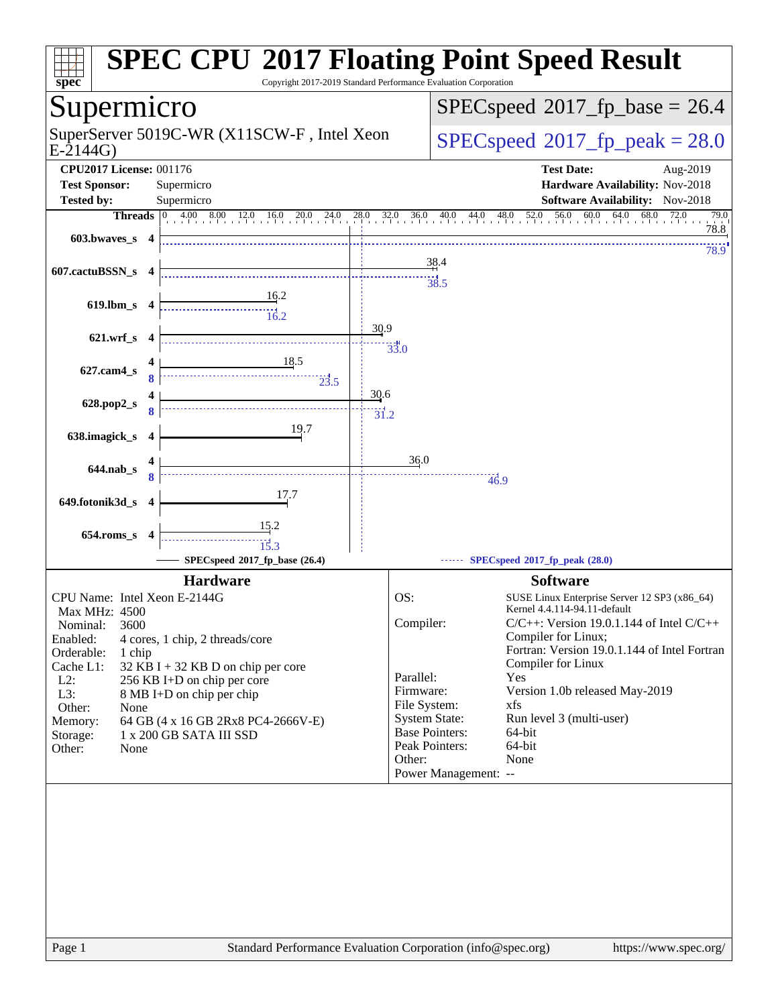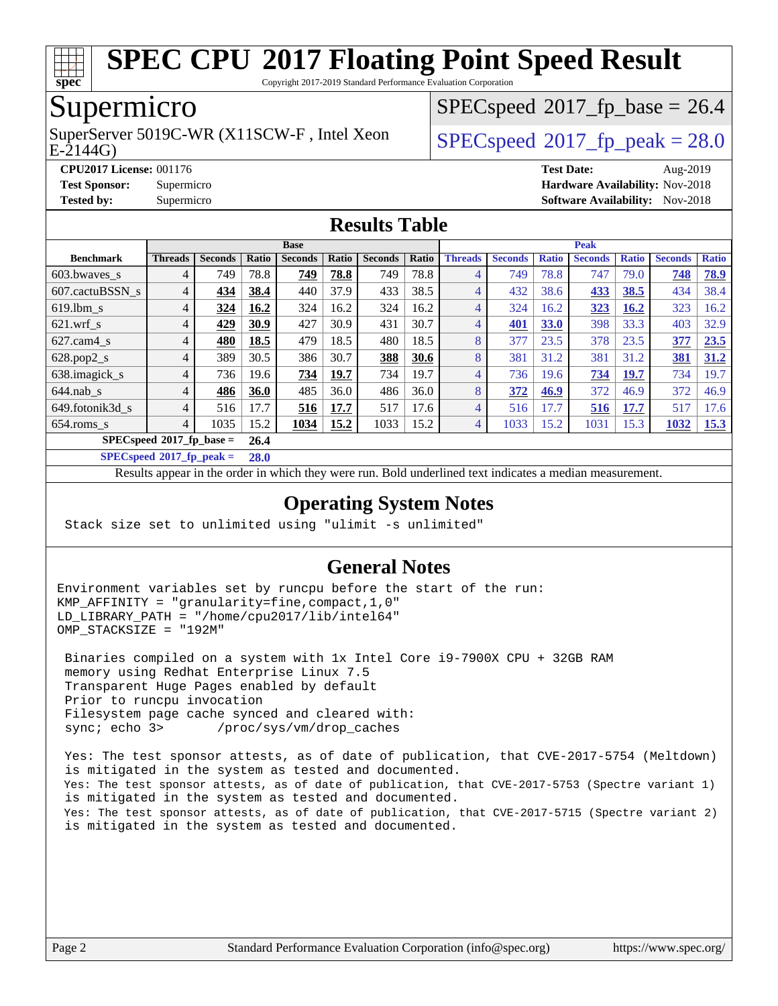

Copyright 2017-2019 Standard Performance Evaluation Corporation

## Supermicro

E-2144G) SuperServer 5019C-WR (X11SCW-F, Intel Xeon  $SPEC speed^{\circ}2017$  fp\_peak = 28.0

 $SPECspeed*2017_fp\_base = 26.4$  $SPECspeed*2017_fp\_base = 26.4$ 

**[CPU2017 License:](http://www.spec.org/auto/cpu2017/Docs/result-fields.html#CPU2017License)** 001176 **[Test Date:](http://www.spec.org/auto/cpu2017/Docs/result-fields.html#TestDate)** Aug-2019

**[Test Sponsor:](http://www.spec.org/auto/cpu2017/Docs/result-fields.html#TestSponsor)** Supermicro **[Hardware Availability:](http://www.spec.org/auto/cpu2017/Docs/result-fields.html#HardwareAvailability)** Nov-2018

**[Tested by:](http://www.spec.org/auto/cpu2017/Docs/result-fields.html#Testedby)** Supermicro [Software Availability:](http://www.spec.org/auto/cpu2017/Docs/result-fields.html#SoftwareAvailability) Nov-2018

#### **[Results Table](http://www.spec.org/auto/cpu2017/Docs/result-fields.html#ResultsTable)**

|                                   | <b>Base</b>    |                |       |                |       |                |       | <b>Peak</b>    |                |              |                |              |                |              |
|-----------------------------------|----------------|----------------|-------|----------------|-------|----------------|-------|----------------|----------------|--------------|----------------|--------------|----------------|--------------|
| <b>Benchmark</b>                  | <b>Threads</b> | <b>Seconds</b> | Ratio | <b>Seconds</b> | Ratio | <b>Seconds</b> | Ratio | <b>Threads</b> | <b>Seconds</b> | <b>Ratio</b> | <b>Seconds</b> | <b>Ratio</b> | <b>Seconds</b> | <b>Ratio</b> |
| 603.bwaves_s                      | $\overline{4}$ | 749            | 78.8  | 749            | 78.8  | 749            | 78.8  | 4              | 749            | 78.8         | 747            | 79.0         | 748            | 78.9         |
| 607.cactuBSSN s                   | 4              | 434            | 38.4  | 440            | 37.9  | 433            | 38.5  | 4              | 432            | 38.6         | 433            | 38.5         | 434            | 38.4         |
| $619.$ lbm_s                      | 4              | 324            | 16.2  | 324            | 16.2  | 324            | 16.2  | 4              | 324            | 16.2         | 323            | <b>16.2</b>  | 323            | 16.2         |
| $621$ wrf s                       | 4              | 429            | 30.9  | 427            | 30.9  | 431            | 30.7  | 4              | 401            | 33.0         | 398            | 33.3         | 403            | 32.9         |
| $627$ .cam $4 \text{ s}$          | 4              | 480            | 18.5  | 479            | 18.5  | 480            | 18.5  | 8              | 377            | 23.5         | 378            | 23.5         | 377            | 23.5         |
| $628.pop2_s$                      | $\overline{4}$ | 389            | 30.5  | 386            | 30.7  | 388            | 30.6  | 8              | 381            | 31.2         | 381            | 31.2         | 381            | 31.2         |
| 638.imagick_s                     | 4              | 736            | 19.6  | 734            | 19.7  | 734            | 19.7  | 4              | 736            | 19.6         | 734            | <b>19.7</b>  | 734            | 19.7         |
| $644$ .nab s                      | $\overline{4}$ | 486            | 36.0  | 485            | 36.0  | 486            | 36.0  | 8              | 372            | 46.9         | 372            | 46.9         | 372            | 46.9         |
| 649.fotonik3d s                   | 4              | 516            | 17.7  | 516            | 17.7  | 517            | 17.6  | 4              | 516            | 17.7         | 516            | 17.7         | 517            | 17.6         |
| $654$ .roms s                     | 4              | 1035           | 15.2  | 1034           | 15.2  | 1033           | 15.2  | 4              | 1033           | 15.2         | 1031           | 15.3         | 1032           | 15.3         |
| $SPECspeed^{\circ}2017$ fp base = |                |                |       |                |       |                |       |                |                |              |                |              |                |              |
|                                   | .              |                |       |                |       |                |       |                |                |              |                |              |                |              |

**[SPECspeed](http://www.spec.org/auto/cpu2017/Docs/result-fields.html#SPECspeed2017fppeak)[2017\\_fp\\_peak =](http://www.spec.org/auto/cpu2017/Docs/result-fields.html#SPECspeed2017fppeak) 28.0**

Results appear in the [order in which they were run.](http://www.spec.org/auto/cpu2017/Docs/result-fields.html#RunOrder) Bold underlined text [indicates a median measurement.](http://www.spec.org/auto/cpu2017/Docs/result-fields.html#Median)

#### **[Operating System Notes](http://www.spec.org/auto/cpu2017/Docs/result-fields.html#OperatingSystemNotes)**

Stack size set to unlimited using "ulimit -s unlimited"

#### **[General Notes](http://www.spec.org/auto/cpu2017/Docs/result-fields.html#GeneralNotes)**

Environment variables set by runcpu before the start of the run: KMP\_AFFINITY = "granularity=fine,compact,1,0" LD LIBRARY PATH = "/home/cpu2017/lib/intel64" OMP\_STACKSIZE = "192M"

 Binaries compiled on a system with 1x Intel Core i9-7900X CPU + 32GB RAM memory using Redhat Enterprise Linux 7.5 Transparent Huge Pages enabled by default Prior to runcpu invocation Filesystem page cache synced and cleared with: sync; echo 3> /proc/sys/vm/drop\_caches

 Yes: The test sponsor attests, as of date of publication, that CVE-2017-5754 (Meltdown) is mitigated in the system as tested and documented. Yes: The test sponsor attests, as of date of publication, that CVE-2017-5753 (Spectre variant 1) is mitigated in the system as tested and documented. Yes: The test sponsor attests, as of date of publication, that CVE-2017-5715 (Spectre variant 2) is mitigated in the system as tested and documented.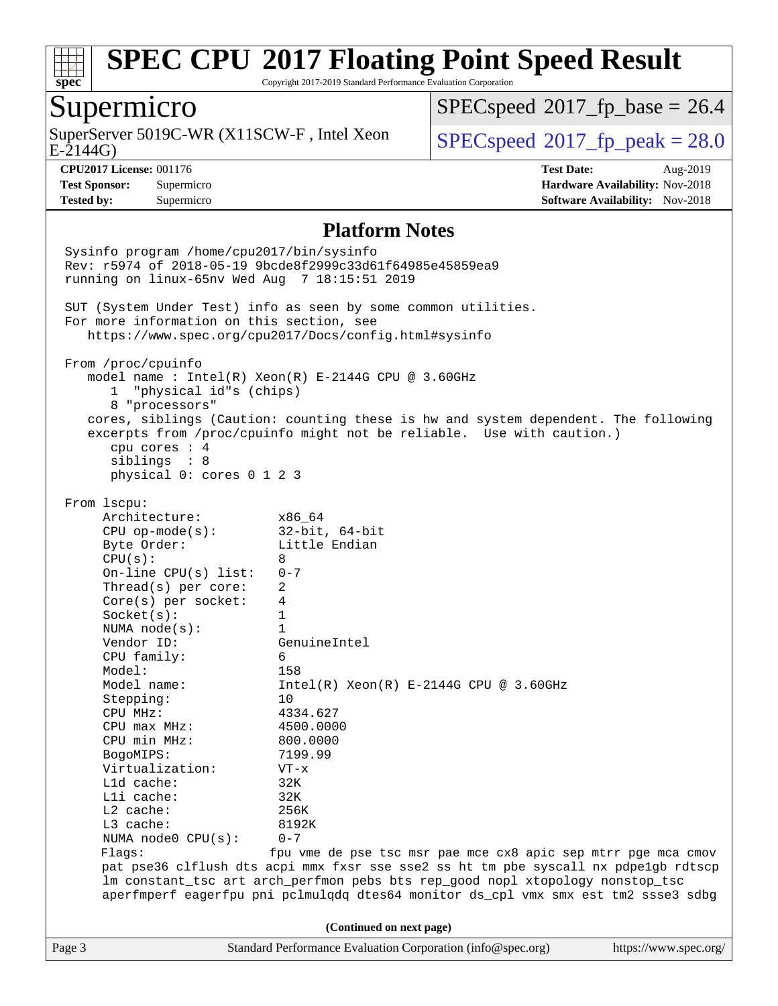

Copyright 2017-2019 Standard Performance Evaluation Corporation

#### Supermicro

E-2144G) SuperServer 5019C-WR (X11SCW-F, Intel Xeon  $SPEC speed^{\circ}2017$  fp\_peak = 28.0

 $SPECspeed*2017_fp\_base = 26.4$  $SPECspeed*2017_fp\_base = 26.4$ 

**[CPU2017 License:](http://www.spec.org/auto/cpu2017/Docs/result-fields.html#CPU2017License)** 001176 **[Test Date:](http://www.spec.org/auto/cpu2017/Docs/result-fields.html#TestDate)** Aug-2019 **[Test Sponsor:](http://www.spec.org/auto/cpu2017/Docs/result-fields.html#TestSponsor)** Supermicro **[Hardware Availability:](http://www.spec.org/auto/cpu2017/Docs/result-fields.html#HardwareAvailability)** Nov-2018 **[Tested by:](http://www.spec.org/auto/cpu2017/Docs/result-fields.html#Testedby)** Supermicro **Supermicro [Software Availability:](http://www.spec.org/auto/cpu2017/Docs/result-fields.html#SoftwareAvailability)** Nov-2018

#### **[Platform Notes](http://www.spec.org/auto/cpu2017/Docs/result-fields.html#PlatformNotes)**

Page 3 Standard Performance Evaluation Corporation [\(info@spec.org\)](mailto:info@spec.org) <https://www.spec.org/> Sysinfo program /home/cpu2017/bin/sysinfo Rev: r5974 of 2018-05-19 9bcde8f2999c33d61f64985e45859ea9 running on linux-65nv Wed Aug 7 18:15:51 2019 SUT (System Under Test) info as seen by some common utilities. For more information on this section, see <https://www.spec.org/cpu2017/Docs/config.html#sysinfo> From /proc/cpuinfo model name : Intel(R) Xeon(R) E-2144G CPU @ 3.60GHz 1 "physical id"s (chips) 8 "processors" cores, siblings (Caution: counting these is hw and system dependent. The following excerpts from /proc/cpuinfo might not be reliable. Use with caution.) cpu cores : 4 siblings : 8 physical 0: cores 0 1 2 3 From lscpu: Architecture: x86\_64 CPU op-mode(s): 32-bit, 64-bit Byte Order: Little Endian  $CPU(s): 8$  On-line CPU(s) list: 0-7 Thread(s) per core: 2 Core(s) per socket: 4 Socket(s): 1 NUMA node(s): 1 Vendor ID: GenuineIntel CPU family: 6 Model: 158<br>Model name: 1158  $Intel(R)$  Xeon(R) E-2144G CPU @ 3.60GHz Stepping: 10 CPU MHz: 4334.627 CPU max MHz: 4500.0000 CPU min MHz: 800.0000 BogoMIPS: 7199.99 Virtualization: VT-x L1d cache: 32K L1i cache: 32K L2 cache: 256K L3 cache: 8192K NUMA node0 CPU(s): 0-7 Flags: fpu vme de pse tsc msr pae mce cx8 apic sep mtrr pge mca cmov pat pse36 clflush dts acpi mmx fxsr sse sse2 ss ht tm pbe syscall nx pdpe1gb rdtscp lm constant\_tsc art arch\_perfmon pebs bts rep\_good nopl xtopology nonstop\_tsc aperfmperf eagerfpu pni pclmulqdq dtes64 monitor ds\_cpl vmx smx est tm2 ssse3 sdbg **(Continued on next page)**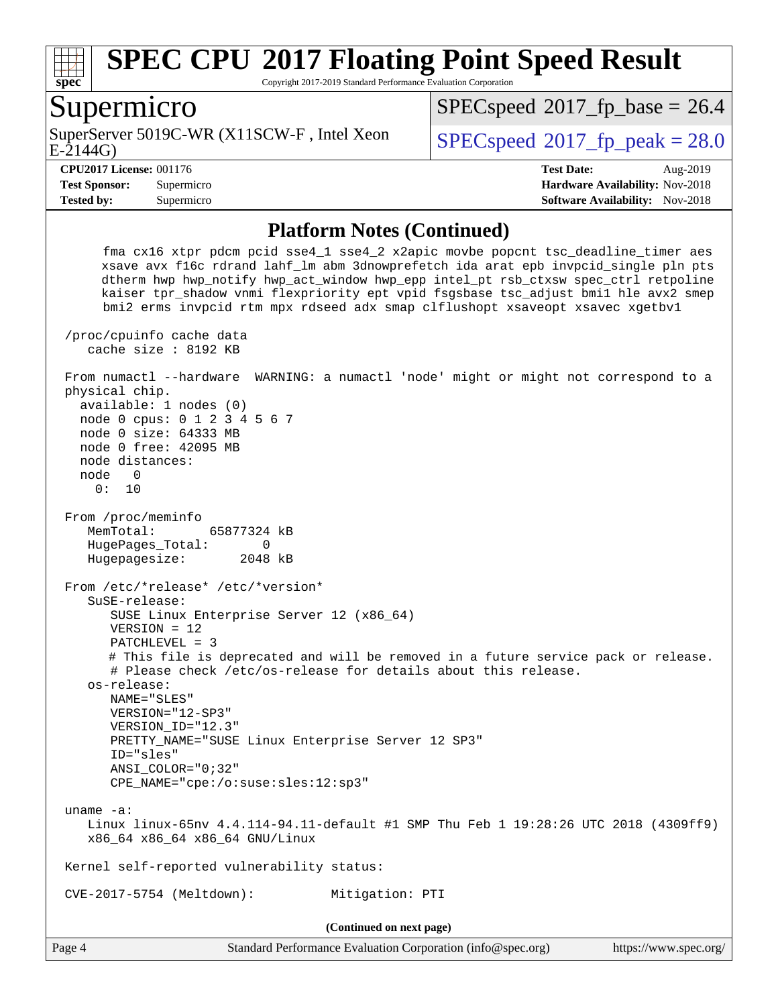

Copyright 2017-2019 Standard Performance Evaluation Corporation

#### Supermicro

E-2144G) SuperServer 5019C-WR (X11SCW-F, Intel Xeon  $SPEC speed^{\circ}2017$  fp\_peak = 28.0

 $SPECspeed*2017_fp\_base = 26.4$  $SPECspeed*2017_fp\_base = 26.4$ 

**[Tested by:](http://www.spec.org/auto/cpu2017/Docs/result-fields.html#Testedby)** Supermicro **Supermicro [Software Availability:](http://www.spec.org/auto/cpu2017/Docs/result-fields.html#SoftwareAvailability)** Nov-2018

**[CPU2017 License:](http://www.spec.org/auto/cpu2017/Docs/result-fields.html#CPU2017License)** 001176 **[Test Date:](http://www.spec.org/auto/cpu2017/Docs/result-fields.html#TestDate)** Aug-2019 **[Test Sponsor:](http://www.spec.org/auto/cpu2017/Docs/result-fields.html#TestSponsor)** Supermicro **[Hardware Availability:](http://www.spec.org/auto/cpu2017/Docs/result-fields.html#HardwareAvailability)** Nov-2018

#### **[Platform Notes \(Continued\)](http://www.spec.org/auto/cpu2017/Docs/result-fields.html#PlatformNotes)**

 fma cx16 xtpr pdcm pcid sse4\_1 sse4\_2 x2apic movbe popcnt tsc\_deadline\_timer aes xsave avx f16c rdrand lahf\_lm abm 3dnowprefetch ida arat epb invpcid\_single pln pts dtherm hwp hwp\_notify hwp\_act\_window hwp\_epp intel\_pt rsb\_ctxsw spec\_ctrl retpoline kaiser tpr\_shadow vnmi flexpriority ept vpid fsgsbase tsc\_adjust bmi1 hle avx2 smep bmi2 erms invpcid rtm mpx rdseed adx smap clflushopt xsaveopt xsavec xgetbv1 /proc/cpuinfo cache data cache size : 8192 KB From numactl --hardware WARNING: a numactl 'node' might or might not correspond to a physical chip. available: 1 nodes (0) node 0 cpus: 0 1 2 3 4 5 6 7 node 0 size: 64333 MB node 0 free: 42095 MB node distances: node 0 0: 10 From /proc/meminfo MemTotal: 65877324 kB HugePages\_Total: 0 Hugepagesize: 2048 kB From /etc/\*release\* /etc/\*version\* SuSE-release: SUSE Linux Enterprise Server 12 (x86\_64) VERSION = 12 PATCHLEVEL = 3 # This file is deprecated and will be removed in a future service pack or release. # Please check /etc/os-release for details about this release. os-release: NAME="SLES" VERSION="12-SP3" VERSION\_ID="12.3" PRETTY\_NAME="SUSE Linux Enterprise Server 12 SP3" ID="sles" ANSI\_COLOR="0;32" CPE\_NAME="cpe:/o:suse:sles:12:sp3" uname -a: Linux linux-65nv 4.4.114-94.11-default #1 SMP Thu Feb 1 19:28:26 UTC 2018 (4309ff9) x86\_64 x86\_64 x86\_64 GNU/Linux Kernel self-reported vulnerability status: CVE-2017-5754 (Meltdown): Mitigation: PTI **(Continued on next page)**

Page 4 Standard Performance Evaluation Corporation [\(info@spec.org\)](mailto:info@spec.org) <https://www.spec.org/>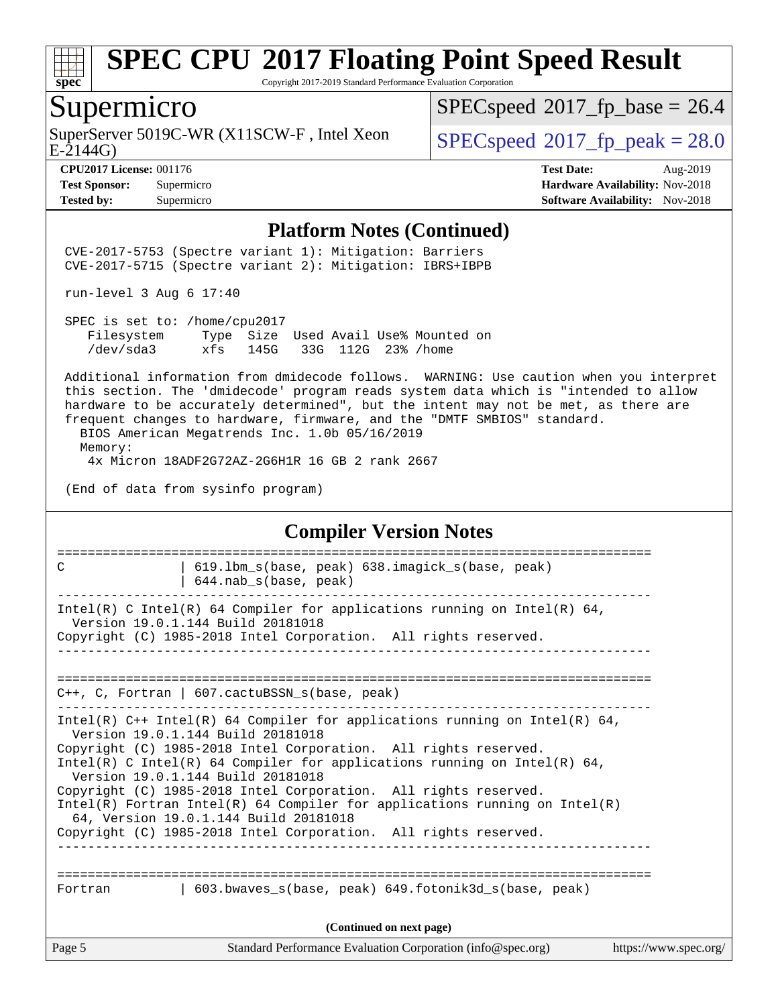

Copyright 2017-2019 Standard Performance Evaluation Corporation

#### Supermicro

SuperServer 5019C-WR (X11SCW-F, Intel Xeon E-2144G)

 $SPECspeed*2017_fp\_base = 26.4$  $SPECspeed*2017_fp\_base = 26.4$ 

 $SPECspeed*2017_f p\_peak = 28.0$  $SPECspeed*2017_f p\_peak = 28.0$ 

**[Tested by:](http://www.spec.org/auto/cpu2017/Docs/result-fields.html#Testedby)** Supermicro **Supermicro [Software Availability:](http://www.spec.org/auto/cpu2017/Docs/result-fields.html#SoftwareAvailability)** Nov-2018

**[CPU2017 License:](http://www.spec.org/auto/cpu2017/Docs/result-fields.html#CPU2017License)** 001176 **[Test Date:](http://www.spec.org/auto/cpu2017/Docs/result-fields.html#TestDate)** Aug-2019 **[Test Sponsor:](http://www.spec.org/auto/cpu2017/Docs/result-fields.html#TestSponsor)** Supermicro **[Hardware Availability:](http://www.spec.org/auto/cpu2017/Docs/result-fields.html#HardwareAvailability)** Nov-2018

#### **[Platform Notes \(Continued\)](http://www.spec.org/auto/cpu2017/Docs/result-fields.html#PlatformNotes)**

 CVE-2017-5753 (Spectre variant 1): Mitigation: Barriers CVE-2017-5715 (Spectre variant 2): Mitigation: IBRS+IBPB

run-level 3 Aug 6 17:40

 SPEC is set to: /home/cpu2017 Filesystem Type Size Used Avail Use% Mounted on /dev/sda3 xfs 145G 33G 112G 23% /home

 Additional information from dmidecode follows. WARNING: Use caution when you interpret this section. The 'dmidecode' program reads system data which is "intended to allow hardware to be accurately determined", but the intent may not be met, as there are frequent changes to hardware, firmware, and the "DMTF SMBIOS" standard.

 BIOS American Megatrends Inc. 1.0b 05/16/2019 Memory: 4x Micron 18ADF2G72AZ-2G6H1R 16 GB 2 rank 2667

(End of data from sysinfo program)

#### **[Compiler Version Notes](http://www.spec.org/auto/cpu2017/Docs/result-fields.html#CompilerVersionNotes)**

| C                        | 619.1bm s(base, peak) 638.imagick s(base, peak)<br>$644.nab_s(base, peak)$                                                                                                                                                                                                                                                                                                                                                                                                                                                                                         |                       |  |  |  |  |
|--------------------------|--------------------------------------------------------------------------------------------------------------------------------------------------------------------------------------------------------------------------------------------------------------------------------------------------------------------------------------------------------------------------------------------------------------------------------------------------------------------------------------------------------------------------------------------------------------------|-----------------------|--|--|--|--|
|                          | Intel(R) C Intel(R) 64 Compiler for applications running on Intel(R) 64,<br>Version 19.0.1.144 Build 20181018<br>Copyright (C) 1985-2018 Intel Corporation. All rights reserved.                                                                                                                                                                                                                                                                                                                                                                                   |                       |  |  |  |  |
|                          | C++, C, Fortran   607.cactuBSSN_s(base, peak)                                                                                                                                                                                                                                                                                                                                                                                                                                                                                                                      |                       |  |  |  |  |
|                          | Intel(R) $C++$ Intel(R) 64 Compiler for applications running on Intel(R) 64,<br>Version 19.0.1.144 Build 20181018<br>Copyright (C) 1985-2018 Intel Corporation. All rights reserved.<br>Intel(R) C Intel(R) 64 Compiler for applications running on Intel(R) 64,<br>Version 19.0.1.144 Build 20181018<br>Copyright (C) 1985-2018 Intel Corporation. All rights reserved.<br>Intel(R) Fortran Intel(R) 64 Compiler for applications running on Intel(R)<br>64, Version 19.0.1.144 Build 20181018<br>Copyright (C) 1985-2018 Intel Corporation. All rights reserved. |                       |  |  |  |  |
| Fortran                  | 603.bwaves s(base, peak) 649.fotonik3d s(base, peak)                                                                                                                                                                                                                                                                                                                                                                                                                                                                                                               |                       |  |  |  |  |
| (Continued on next page) |                                                                                                                                                                                                                                                                                                                                                                                                                                                                                                                                                                    |                       |  |  |  |  |
| Page 5                   | Standard Performance Evaluation Corporation (info@spec.org)                                                                                                                                                                                                                                                                                                                                                                                                                                                                                                        | https://www.spec.org/ |  |  |  |  |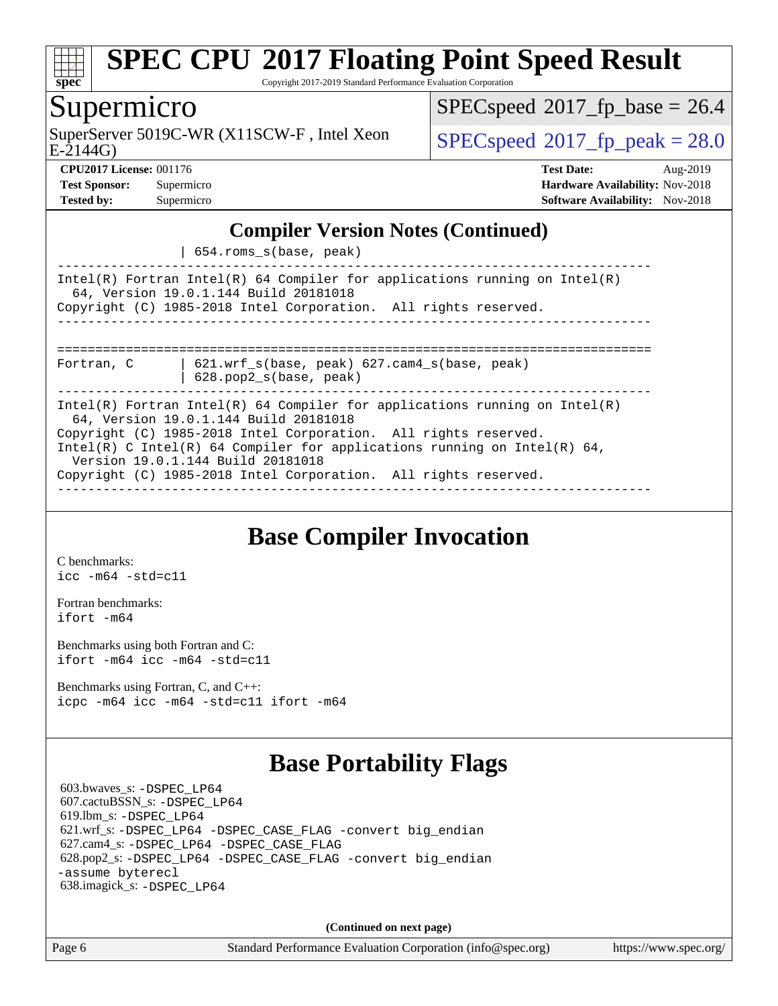

Copyright 2017-2019 Standard Performance Evaluation Corporation

### Supermicro

E-2144G) SuperServer 5019C-WR (X11SCW-F, Intel Xeon  $SPEC speed^{\circ}2017$  fp\_peak = 28.0

 $SPECspeed*2017_fp\_base = 26.4$  $SPECspeed*2017_fp\_base = 26.4$ 

**[CPU2017 License:](http://www.spec.org/auto/cpu2017/Docs/result-fields.html#CPU2017License)** 001176 **[Test Date:](http://www.spec.org/auto/cpu2017/Docs/result-fields.html#TestDate)** Aug-2019 **[Test Sponsor:](http://www.spec.org/auto/cpu2017/Docs/result-fields.html#TestSponsor)** Supermicro **[Hardware Availability:](http://www.spec.org/auto/cpu2017/Docs/result-fields.html#HardwareAvailability)** Nov-2018 **[Tested by:](http://www.spec.org/auto/cpu2017/Docs/result-fields.html#Testedby)** Supermicro **[Software Availability:](http://www.spec.org/auto/cpu2017/Docs/result-fields.html#SoftwareAvailability)** Nov-2018

#### **[Compiler Version Notes \(Continued\)](http://www.spec.org/auto/cpu2017/Docs/result-fields.html#CompilerVersionNotes)**

| 654.roms\_s(base, peak)

------------------------------------------------------------------------------ Intel(R) Fortran Intel(R) 64 Compiler for applications running on Intel(R) 64, Version 19.0.1.144 Build 20181018 Copyright (C) 1985-2018 Intel Corporation. All rights reserved. ------------------------------------------------------------------------------ ============================================================================== Fortran, C | 621.wrf\_s(base, peak) 627.cam4\_s(base, peak)

| 628.pop2\_s(base, peak)

------------------------------------------------------------------------------ Intel(R) Fortran Intel(R) 64 Compiler for applications running on Intel(R) 64, Version 19.0.1.144 Build 20181018 Copyright (C) 1985-2018 Intel Corporation. All rights reserved. Intel(R) C Intel(R) 64 Compiler for applications running on Intel(R) 64, Version 19.0.1.144 Build 20181018 Copyright (C) 1985-2018 Intel Corporation. All rights reserved. ------------------------------------------------------------------------------

## **[Base Compiler Invocation](http://www.spec.org/auto/cpu2017/Docs/result-fields.html#BaseCompilerInvocation)**

[C benchmarks](http://www.spec.org/auto/cpu2017/Docs/result-fields.html#Cbenchmarks): [icc -m64 -std=c11](http://www.spec.org/cpu2017/results/res2019q3/cpu2017-20190819-17144.flags.html#user_CCbase_intel_icc_64bit_c11_33ee0cdaae7deeeab2a9725423ba97205ce30f63b9926c2519791662299b76a0318f32ddfffdc46587804de3178b4f9328c46fa7c2b0cd779d7a61945c91cd35)

[Fortran benchmarks](http://www.spec.org/auto/cpu2017/Docs/result-fields.html#Fortranbenchmarks): [ifort -m64](http://www.spec.org/cpu2017/results/res2019q3/cpu2017-20190819-17144.flags.html#user_FCbase_intel_ifort_64bit_24f2bb282fbaeffd6157abe4f878425411749daecae9a33200eee2bee2fe76f3b89351d69a8130dd5949958ce389cf37ff59a95e7a40d588e8d3a57e0c3fd751)

[Benchmarks using both Fortran and C](http://www.spec.org/auto/cpu2017/Docs/result-fields.html#BenchmarksusingbothFortranandC): [ifort -m64](http://www.spec.org/cpu2017/results/res2019q3/cpu2017-20190819-17144.flags.html#user_CC_FCbase_intel_ifort_64bit_24f2bb282fbaeffd6157abe4f878425411749daecae9a33200eee2bee2fe76f3b89351d69a8130dd5949958ce389cf37ff59a95e7a40d588e8d3a57e0c3fd751) [icc -m64 -std=c11](http://www.spec.org/cpu2017/results/res2019q3/cpu2017-20190819-17144.flags.html#user_CC_FCbase_intel_icc_64bit_c11_33ee0cdaae7deeeab2a9725423ba97205ce30f63b9926c2519791662299b76a0318f32ddfffdc46587804de3178b4f9328c46fa7c2b0cd779d7a61945c91cd35)

[Benchmarks using Fortran, C, and C++:](http://www.spec.org/auto/cpu2017/Docs/result-fields.html#BenchmarksusingFortranCandCXX) [icpc -m64](http://www.spec.org/cpu2017/results/res2019q3/cpu2017-20190819-17144.flags.html#user_CC_CXX_FCbase_intel_icpc_64bit_4ecb2543ae3f1412ef961e0650ca070fec7b7afdcd6ed48761b84423119d1bf6bdf5cad15b44d48e7256388bc77273b966e5eb805aefd121eb22e9299b2ec9d9) [icc -m64 -std=c11](http://www.spec.org/cpu2017/results/res2019q3/cpu2017-20190819-17144.flags.html#user_CC_CXX_FCbase_intel_icc_64bit_c11_33ee0cdaae7deeeab2a9725423ba97205ce30f63b9926c2519791662299b76a0318f32ddfffdc46587804de3178b4f9328c46fa7c2b0cd779d7a61945c91cd35) [ifort -m64](http://www.spec.org/cpu2017/results/res2019q3/cpu2017-20190819-17144.flags.html#user_CC_CXX_FCbase_intel_ifort_64bit_24f2bb282fbaeffd6157abe4f878425411749daecae9a33200eee2bee2fe76f3b89351d69a8130dd5949958ce389cf37ff59a95e7a40d588e8d3a57e0c3fd751)

## **[Base Portability Flags](http://www.spec.org/auto/cpu2017/Docs/result-fields.html#BasePortabilityFlags)**

 603.bwaves\_s: [-DSPEC\\_LP64](http://www.spec.org/cpu2017/results/res2019q3/cpu2017-20190819-17144.flags.html#suite_basePORTABILITY603_bwaves_s_DSPEC_LP64) 607.cactuBSSN\_s: [-DSPEC\\_LP64](http://www.spec.org/cpu2017/results/res2019q3/cpu2017-20190819-17144.flags.html#suite_basePORTABILITY607_cactuBSSN_s_DSPEC_LP64) 619.lbm\_s: [-DSPEC\\_LP64](http://www.spec.org/cpu2017/results/res2019q3/cpu2017-20190819-17144.flags.html#suite_basePORTABILITY619_lbm_s_DSPEC_LP64) 621.wrf\_s: [-DSPEC\\_LP64](http://www.spec.org/cpu2017/results/res2019q3/cpu2017-20190819-17144.flags.html#suite_basePORTABILITY621_wrf_s_DSPEC_LP64) [-DSPEC\\_CASE\\_FLAG](http://www.spec.org/cpu2017/results/res2019q3/cpu2017-20190819-17144.flags.html#b621.wrf_s_baseCPORTABILITY_DSPEC_CASE_FLAG) [-convert big\\_endian](http://www.spec.org/cpu2017/results/res2019q3/cpu2017-20190819-17144.flags.html#user_baseFPORTABILITY621_wrf_s_convert_big_endian_c3194028bc08c63ac5d04de18c48ce6d347e4e562e8892b8bdbdc0214820426deb8554edfa529a3fb25a586e65a3d812c835984020483e7e73212c4d31a38223) 627.cam4\_s: [-DSPEC\\_LP64](http://www.spec.org/cpu2017/results/res2019q3/cpu2017-20190819-17144.flags.html#suite_basePORTABILITY627_cam4_s_DSPEC_LP64) [-DSPEC\\_CASE\\_FLAG](http://www.spec.org/cpu2017/results/res2019q3/cpu2017-20190819-17144.flags.html#b627.cam4_s_baseCPORTABILITY_DSPEC_CASE_FLAG) 628.pop2\_s: [-DSPEC\\_LP64](http://www.spec.org/cpu2017/results/res2019q3/cpu2017-20190819-17144.flags.html#suite_basePORTABILITY628_pop2_s_DSPEC_LP64) [-DSPEC\\_CASE\\_FLAG](http://www.spec.org/cpu2017/results/res2019q3/cpu2017-20190819-17144.flags.html#b628.pop2_s_baseCPORTABILITY_DSPEC_CASE_FLAG) [-convert big\\_endian](http://www.spec.org/cpu2017/results/res2019q3/cpu2017-20190819-17144.flags.html#user_baseFPORTABILITY628_pop2_s_convert_big_endian_c3194028bc08c63ac5d04de18c48ce6d347e4e562e8892b8bdbdc0214820426deb8554edfa529a3fb25a586e65a3d812c835984020483e7e73212c4d31a38223) [-assume byterecl](http://www.spec.org/cpu2017/results/res2019q3/cpu2017-20190819-17144.flags.html#user_baseFPORTABILITY628_pop2_s_assume_byterecl_7e47d18b9513cf18525430bbf0f2177aa9bf368bc7a059c09b2c06a34b53bd3447c950d3f8d6c70e3faf3a05c8557d66a5798b567902e8849adc142926523472) 638.imagick\_s: [-DSPEC\\_LP64](http://www.spec.org/cpu2017/results/res2019q3/cpu2017-20190819-17144.flags.html#suite_basePORTABILITY638_imagick_s_DSPEC_LP64)

**(Continued on next page)**

Page 6 Standard Performance Evaluation Corporation [\(info@spec.org\)](mailto:info@spec.org) <https://www.spec.org/>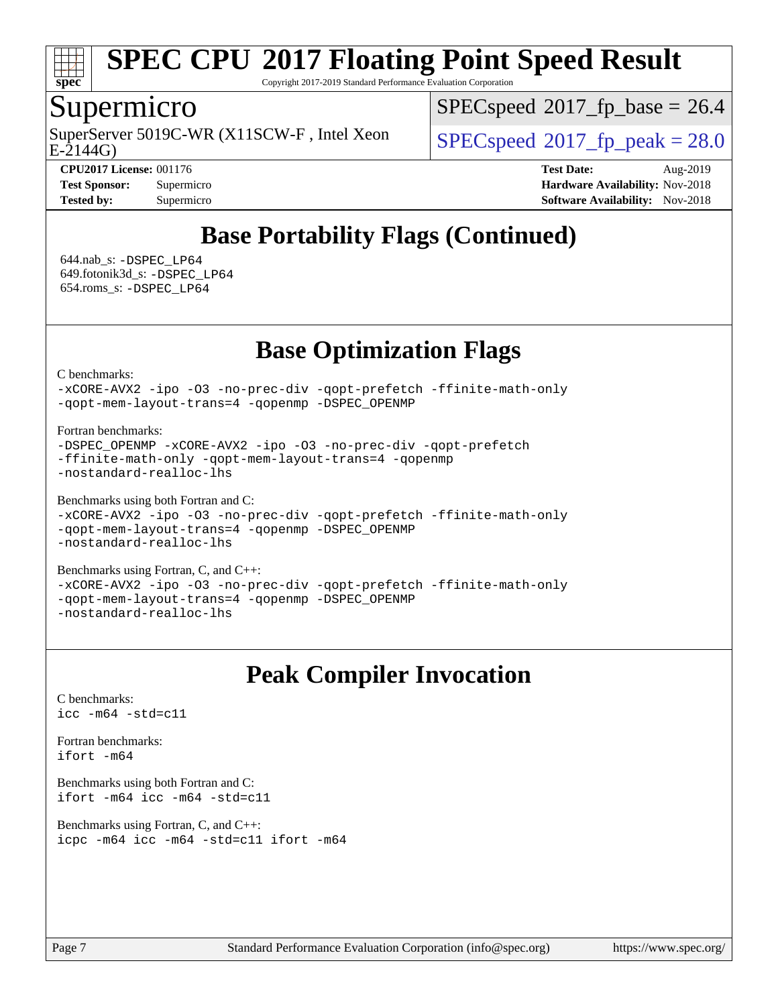

Copyright 2017-2019 Standard Performance Evaluation Corporation

#### Supermicro

 $E-2144G$ SuperServer 5019C-WR (X11SCW-F, Intel Xeon  $SPEC speed^{\circ}2017$  fp\_peak = 28.0

 $SPECspeed*2017_fp\_base = 26.4$  $SPECspeed*2017_fp\_base = 26.4$ 

**[CPU2017 License:](http://www.spec.org/auto/cpu2017/Docs/result-fields.html#CPU2017License)** 001176 **[Test Date:](http://www.spec.org/auto/cpu2017/Docs/result-fields.html#TestDate)** Aug-2019 **[Test Sponsor:](http://www.spec.org/auto/cpu2017/Docs/result-fields.html#TestSponsor)** Supermicro **[Hardware Availability:](http://www.spec.org/auto/cpu2017/Docs/result-fields.html#HardwareAvailability)** Nov-2018 **[Tested by:](http://www.spec.org/auto/cpu2017/Docs/result-fields.html#Testedby)** Supermicro **Supermicro [Software Availability:](http://www.spec.org/auto/cpu2017/Docs/result-fields.html#SoftwareAvailability)** Nov-2018

## **[Base Portability Flags \(Continued\)](http://www.spec.org/auto/cpu2017/Docs/result-fields.html#BasePortabilityFlags)**

 644.nab\_s: [-DSPEC\\_LP64](http://www.spec.org/cpu2017/results/res2019q3/cpu2017-20190819-17144.flags.html#suite_basePORTABILITY644_nab_s_DSPEC_LP64) 649.fotonik3d\_s: [-DSPEC\\_LP64](http://www.spec.org/cpu2017/results/res2019q3/cpu2017-20190819-17144.flags.html#suite_basePORTABILITY649_fotonik3d_s_DSPEC_LP64) 654.roms\_s: [-DSPEC\\_LP64](http://www.spec.org/cpu2017/results/res2019q3/cpu2017-20190819-17144.flags.html#suite_basePORTABILITY654_roms_s_DSPEC_LP64)

## **[Base Optimization Flags](http://www.spec.org/auto/cpu2017/Docs/result-fields.html#BaseOptimizationFlags)**

[C benchmarks](http://www.spec.org/auto/cpu2017/Docs/result-fields.html#Cbenchmarks):

[-xCORE-AVX2](http://www.spec.org/cpu2017/results/res2019q3/cpu2017-20190819-17144.flags.html#user_CCbase_f-xCORE-AVX2) [-ipo](http://www.spec.org/cpu2017/results/res2019q3/cpu2017-20190819-17144.flags.html#user_CCbase_f-ipo) [-O3](http://www.spec.org/cpu2017/results/res2019q3/cpu2017-20190819-17144.flags.html#user_CCbase_f-O3) [-no-prec-div](http://www.spec.org/cpu2017/results/res2019q3/cpu2017-20190819-17144.flags.html#user_CCbase_f-no-prec-div) [-qopt-prefetch](http://www.spec.org/cpu2017/results/res2019q3/cpu2017-20190819-17144.flags.html#user_CCbase_f-qopt-prefetch) [-ffinite-math-only](http://www.spec.org/cpu2017/results/res2019q3/cpu2017-20190819-17144.flags.html#user_CCbase_f_finite_math_only_cb91587bd2077682c4b38af759c288ed7c732db004271a9512da14a4f8007909a5f1427ecbf1a0fb78ff2a814402c6114ac565ca162485bbcae155b5e4258871) [-qopt-mem-layout-trans=4](http://www.spec.org/cpu2017/results/res2019q3/cpu2017-20190819-17144.flags.html#user_CCbase_f-qopt-mem-layout-trans_fa39e755916c150a61361b7846f310bcdf6f04e385ef281cadf3647acec3f0ae266d1a1d22d972a7087a248fd4e6ca390a3634700869573d231a252c784941a8) [-qopenmp](http://www.spec.org/cpu2017/results/res2019q3/cpu2017-20190819-17144.flags.html#user_CCbase_qopenmp_16be0c44f24f464004c6784a7acb94aca937f053568ce72f94b139a11c7c168634a55f6653758ddd83bcf7b8463e8028bb0b48b77bcddc6b78d5d95bb1df2967) [-DSPEC\\_OPENMP](http://www.spec.org/cpu2017/results/res2019q3/cpu2017-20190819-17144.flags.html#suite_CCbase_DSPEC_OPENMP)

[Fortran benchmarks](http://www.spec.org/auto/cpu2017/Docs/result-fields.html#Fortranbenchmarks):

```
-DSPEC_OPENMP -xCORE-AVX2 -ipo -O3 -no-prec-div -qopt-prefetch
-ffinite-math-only -qopt-mem-layout-trans=4 -qopenmp
-nostandard-realloc-lhs
```
[Benchmarks using both Fortran and C](http://www.spec.org/auto/cpu2017/Docs/result-fields.html#BenchmarksusingbothFortranandC):

```
-xCORE-AVX2 -ipo -O3 -no-prec-div -qopt-prefetch -ffinite-math-only
-qopt-mem-layout-trans=4 -qopenmp -DSPEC_OPENMP
-nostandard-realloc-lhs
```
[Benchmarks using Fortran, C, and C++:](http://www.spec.org/auto/cpu2017/Docs/result-fields.html#BenchmarksusingFortranCandCXX) [-xCORE-AVX2](http://www.spec.org/cpu2017/results/res2019q3/cpu2017-20190819-17144.flags.html#user_CC_CXX_FCbase_f-xCORE-AVX2) [-ipo](http://www.spec.org/cpu2017/results/res2019q3/cpu2017-20190819-17144.flags.html#user_CC_CXX_FCbase_f-ipo) [-O3](http://www.spec.org/cpu2017/results/res2019q3/cpu2017-20190819-17144.flags.html#user_CC_CXX_FCbase_f-O3) [-no-prec-div](http://www.spec.org/cpu2017/results/res2019q3/cpu2017-20190819-17144.flags.html#user_CC_CXX_FCbase_f-no-prec-div) [-qopt-prefetch](http://www.spec.org/cpu2017/results/res2019q3/cpu2017-20190819-17144.flags.html#user_CC_CXX_FCbase_f-qopt-prefetch) [-ffinite-math-only](http://www.spec.org/cpu2017/results/res2019q3/cpu2017-20190819-17144.flags.html#user_CC_CXX_FCbase_f_finite_math_only_cb91587bd2077682c4b38af759c288ed7c732db004271a9512da14a4f8007909a5f1427ecbf1a0fb78ff2a814402c6114ac565ca162485bbcae155b5e4258871) [-qopt-mem-layout-trans=4](http://www.spec.org/cpu2017/results/res2019q3/cpu2017-20190819-17144.flags.html#user_CC_CXX_FCbase_f-qopt-mem-layout-trans_fa39e755916c150a61361b7846f310bcdf6f04e385ef281cadf3647acec3f0ae266d1a1d22d972a7087a248fd4e6ca390a3634700869573d231a252c784941a8) [-qopenmp](http://www.spec.org/cpu2017/results/res2019q3/cpu2017-20190819-17144.flags.html#user_CC_CXX_FCbase_qopenmp_16be0c44f24f464004c6784a7acb94aca937f053568ce72f94b139a11c7c168634a55f6653758ddd83bcf7b8463e8028bb0b48b77bcddc6b78d5d95bb1df2967) [-DSPEC\\_OPENMP](http://www.spec.org/cpu2017/results/res2019q3/cpu2017-20190819-17144.flags.html#suite_CC_CXX_FCbase_DSPEC_OPENMP) [-nostandard-realloc-lhs](http://www.spec.org/cpu2017/results/res2019q3/cpu2017-20190819-17144.flags.html#user_CC_CXX_FCbase_f_2003_std_realloc_82b4557e90729c0f113870c07e44d33d6f5a304b4f63d4c15d2d0f1fab99f5daaed73bdb9275d9ae411527f28b936061aa8b9c8f2d63842963b95c9dd6426b8a)

## **[Peak Compiler Invocation](http://www.spec.org/auto/cpu2017/Docs/result-fields.html#PeakCompilerInvocation)**

[C benchmarks](http://www.spec.org/auto/cpu2017/Docs/result-fields.html#Cbenchmarks): [icc -m64 -std=c11](http://www.spec.org/cpu2017/results/res2019q3/cpu2017-20190819-17144.flags.html#user_CCpeak_intel_icc_64bit_c11_33ee0cdaae7deeeab2a9725423ba97205ce30f63b9926c2519791662299b76a0318f32ddfffdc46587804de3178b4f9328c46fa7c2b0cd779d7a61945c91cd35)

[Fortran benchmarks](http://www.spec.org/auto/cpu2017/Docs/result-fields.html#Fortranbenchmarks): [ifort -m64](http://www.spec.org/cpu2017/results/res2019q3/cpu2017-20190819-17144.flags.html#user_FCpeak_intel_ifort_64bit_24f2bb282fbaeffd6157abe4f878425411749daecae9a33200eee2bee2fe76f3b89351d69a8130dd5949958ce389cf37ff59a95e7a40d588e8d3a57e0c3fd751)

[Benchmarks using both Fortran and C](http://www.spec.org/auto/cpu2017/Docs/result-fields.html#BenchmarksusingbothFortranandC): [ifort -m64](http://www.spec.org/cpu2017/results/res2019q3/cpu2017-20190819-17144.flags.html#user_CC_FCpeak_intel_ifort_64bit_24f2bb282fbaeffd6157abe4f878425411749daecae9a33200eee2bee2fe76f3b89351d69a8130dd5949958ce389cf37ff59a95e7a40d588e8d3a57e0c3fd751) [icc -m64 -std=c11](http://www.spec.org/cpu2017/results/res2019q3/cpu2017-20190819-17144.flags.html#user_CC_FCpeak_intel_icc_64bit_c11_33ee0cdaae7deeeab2a9725423ba97205ce30f63b9926c2519791662299b76a0318f32ddfffdc46587804de3178b4f9328c46fa7c2b0cd779d7a61945c91cd35)

[Benchmarks using Fortran, C, and C++:](http://www.spec.org/auto/cpu2017/Docs/result-fields.html#BenchmarksusingFortranCandCXX) [icpc -m64](http://www.spec.org/cpu2017/results/res2019q3/cpu2017-20190819-17144.flags.html#user_CC_CXX_FCpeak_intel_icpc_64bit_4ecb2543ae3f1412ef961e0650ca070fec7b7afdcd6ed48761b84423119d1bf6bdf5cad15b44d48e7256388bc77273b966e5eb805aefd121eb22e9299b2ec9d9) [icc -m64 -std=c11](http://www.spec.org/cpu2017/results/res2019q3/cpu2017-20190819-17144.flags.html#user_CC_CXX_FCpeak_intel_icc_64bit_c11_33ee0cdaae7deeeab2a9725423ba97205ce30f63b9926c2519791662299b76a0318f32ddfffdc46587804de3178b4f9328c46fa7c2b0cd779d7a61945c91cd35) [ifort -m64](http://www.spec.org/cpu2017/results/res2019q3/cpu2017-20190819-17144.flags.html#user_CC_CXX_FCpeak_intel_ifort_64bit_24f2bb282fbaeffd6157abe4f878425411749daecae9a33200eee2bee2fe76f3b89351d69a8130dd5949958ce389cf37ff59a95e7a40d588e8d3a57e0c3fd751)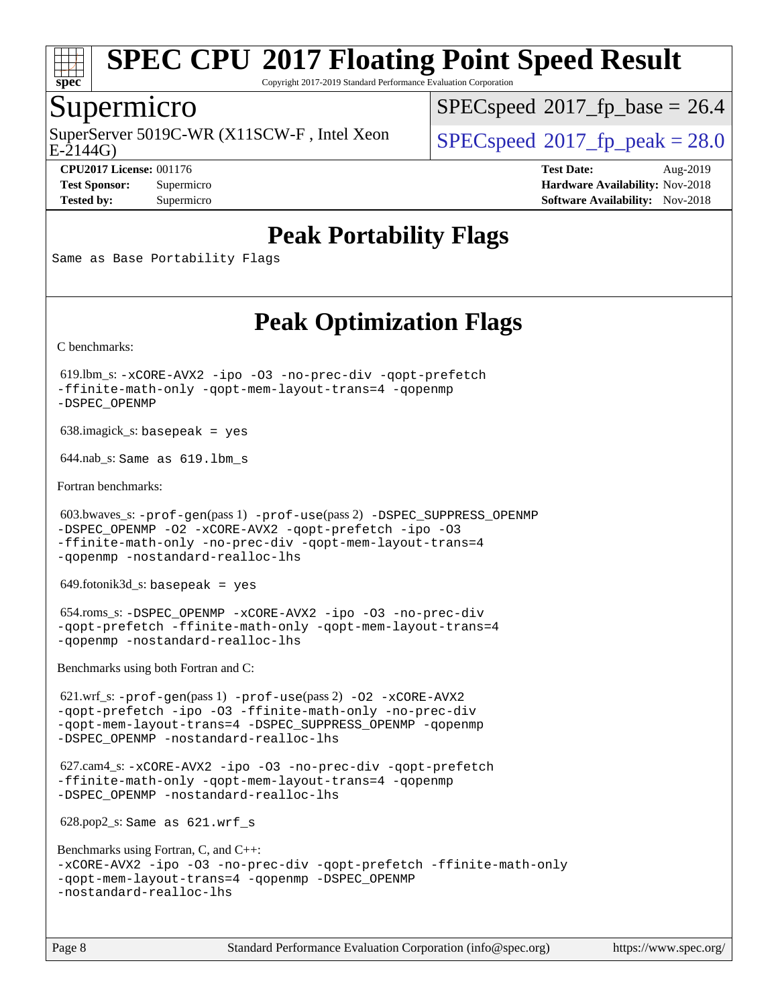

Copyright 2017-2019 Standard Performance Evaluation Corporation

#### Supermicro

 $E-2144G$ SuperServer 5019C-WR (X11SCW-F, Intel Xeon  $SPEC speed^{\circ}2017$  fp\_peak = 28.0

 $SPECspeed^{\circledcirc}2017$  $SPECspeed^{\circledcirc}2017$  fp base = 26.4

**[CPU2017 License:](http://www.spec.org/auto/cpu2017/Docs/result-fields.html#CPU2017License)** 001176 **[Test Date:](http://www.spec.org/auto/cpu2017/Docs/result-fields.html#TestDate)** Aug-2019 **[Test Sponsor:](http://www.spec.org/auto/cpu2017/Docs/result-fields.html#TestSponsor)** Supermicro **[Hardware Availability:](http://www.spec.org/auto/cpu2017/Docs/result-fields.html#HardwareAvailability)** Nov-2018 **[Tested by:](http://www.spec.org/auto/cpu2017/Docs/result-fields.html#Testedby)** Supermicro **Supermicro [Software Availability:](http://www.spec.org/auto/cpu2017/Docs/result-fields.html#SoftwareAvailability)** Nov-2018

## **[Peak Portability Flags](http://www.spec.org/auto/cpu2017/Docs/result-fields.html#PeakPortabilityFlags)**

Same as Base Portability Flags

## **[Peak Optimization Flags](http://www.spec.org/auto/cpu2017/Docs/result-fields.html#PeakOptimizationFlags)**

[C benchmarks](http://www.spec.org/auto/cpu2017/Docs/result-fields.html#Cbenchmarks):

 619.lbm\_s: [-xCORE-AVX2](http://www.spec.org/cpu2017/results/res2019q3/cpu2017-20190819-17144.flags.html#user_peakCOPTIMIZE619_lbm_s_f-xCORE-AVX2) [-ipo](http://www.spec.org/cpu2017/results/res2019q3/cpu2017-20190819-17144.flags.html#user_peakCOPTIMIZE619_lbm_s_f-ipo) [-O3](http://www.spec.org/cpu2017/results/res2019q3/cpu2017-20190819-17144.flags.html#user_peakCOPTIMIZE619_lbm_s_f-O3) [-no-prec-div](http://www.spec.org/cpu2017/results/res2019q3/cpu2017-20190819-17144.flags.html#user_peakCOPTIMIZE619_lbm_s_f-no-prec-div) [-qopt-prefetch](http://www.spec.org/cpu2017/results/res2019q3/cpu2017-20190819-17144.flags.html#user_peakCOPTIMIZE619_lbm_s_f-qopt-prefetch) [-ffinite-math-only](http://www.spec.org/cpu2017/results/res2019q3/cpu2017-20190819-17144.flags.html#user_peakCOPTIMIZE619_lbm_s_f_finite_math_only_cb91587bd2077682c4b38af759c288ed7c732db004271a9512da14a4f8007909a5f1427ecbf1a0fb78ff2a814402c6114ac565ca162485bbcae155b5e4258871) [-qopt-mem-layout-trans=4](http://www.spec.org/cpu2017/results/res2019q3/cpu2017-20190819-17144.flags.html#user_peakCOPTIMIZE619_lbm_s_f-qopt-mem-layout-trans_fa39e755916c150a61361b7846f310bcdf6f04e385ef281cadf3647acec3f0ae266d1a1d22d972a7087a248fd4e6ca390a3634700869573d231a252c784941a8) [-qopenmp](http://www.spec.org/cpu2017/results/res2019q3/cpu2017-20190819-17144.flags.html#user_peakCOPTIMIZE619_lbm_s_qopenmp_16be0c44f24f464004c6784a7acb94aca937f053568ce72f94b139a11c7c168634a55f6653758ddd83bcf7b8463e8028bb0b48b77bcddc6b78d5d95bb1df2967) [-DSPEC\\_OPENMP](http://www.spec.org/cpu2017/results/res2019q3/cpu2017-20190819-17144.flags.html#suite_peakCOPTIMIZE619_lbm_s_DSPEC_OPENMP)

638.imagick\_s: basepeak = yes

644.nab\_s: Same as 619.lbm\_s

[Fortran benchmarks](http://www.spec.org/auto/cpu2017/Docs/result-fields.html#Fortranbenchmarks):

```
 603.bwaves_s: -prof-gen(pass 1) -prof-use(pass 2) -DSPEC_SUPPRESS_OPENMP
-DSPEC_OPENMP -O2 -xCORE-AVX2 -qopt-prefetch -ipo -O3
-ffinite-math-only -no-prec-div -qopt-mem-layout-trans=4
-qopenmp -nostandard-realloc-lhs
```
649.fotonik3d\_s: basepeak = yes

 654.roms\_s: [-DSPEC\\_OPENMP](http://www.spec.org/cpu2017/results/res2019q3/cpu2017-20190819-17144.flags.html#suite_peakFOPTIMIZE654_roms_s_DSPEC_OPENMP) [-xCORE-AVX2](http://www.spec.org/cpu2017/results/res2019q3/cpu2017-20190819-17144.flags.html#user_peakFOPTIMIZE654_roms_s_f-xCORE-AVX2) [-ipo](http://www.spec.org/cpu2017/results/res2019q3/cpu2017-20190819-17144.flags.html#user_peakFOPTIMIZE654_roms_s_f-ipo) [-O3](http://www.spec.org/cpu2017/results/res2019q3/cpu2017-20190819-17144.flags.html#user_peakFOPTIMIZE654_roms_s_f-O3) [-no-prec-div](http://www.spec.org/cpu2017/results/res2019q3/cpu2017-20190819-17144.flags.html#user_peakFOPTIMIZE654_roms_s_f-no-prec-div) [-qopt-prefetch](http://www.spec.org/cpu2017/results/res2019q3/cpu2017-20190819-17144.flags.html#user_peakFOPTIMIZE654_roms_s_f-qopt-prefetch) [-ffinite-math-only](http://www.spec.org/cpu2017/results/res2019q3/cpu2017-20190819-17144.flags.html#user_peakFOPTIMIZE654_roms_s_f_finite_math_only_cb91587bd2077682c4b38af759c288ed7c732db004271a9512da14a4f8007909a5f1427ecbf1a0fb78ff2a814402c6114ac565ca162485bbcae155b5e4258871) [-qopt-mem-layout-trans=4](http://www.spec.org/cpu2017/results/res2019q3/cpu2017-20190819-17144.flags.html#user_peakFOPTIMIZE654_roms_s_f-qopt-mem-layout-trans_fa39e755916c150a61361b7846f310bcdf6f04e385ef281cadf3647acec3f0ae266d1a1d22d972a7087a248fd4e6ca390a3634700869573d231a252c784941a8) [-qopenmp](http://www.spec.org/cpu2017/results/res2019q3/cpu2017-20190819-17144.flags.html#user_peakFOPTIMIZE654_roms_s_qopenmp_16be0c44f24f464004c6784a7acb94aca937f053568ce72f94b139a11c7c168634a55f6653758ddd83bcf7b8463e8028bb0b48b77bcddc6b78d5d95bb1df2967) [-nostandard-realloc-lhs](http://www.spec.org/cpu2017/results/res2019q3/cpu2017-20190819-17144.flags.html#user_peakEXTRA_FOPTIMIZE654_roms_s_f_2003_std_realloc_82b4557e90729c0f113870c07e44d33d6f5a304b4f63d4c15d2d0f1fab99f5daaed73bdb9275d9ae411527f28b936061aa8b9c8f2d63842963b95c9dd6426b8a)

[Benchmarks using both Fortran and C](http://www.spec.org/auto/cpu2017/Docs/result-fields.html#BenchmarksusingbothFortranandC):

 621.wrf\_s: [-prof-gen](http://www.spec.org/cpu2017/results/res2019q3/cpu2017-20190819-17144.flags.html#user_peakPASS1_CFLAGSPASS1_FFLAGSPASS1_LDFLAGS621_wrf_s_prof_gen_5aa4926d6013ddb2a31985c654b3eb18169fc0c6952a63635c234f711e6e63dd76e94ad52365559451ec499a2cdb89e4dc58ba4c67ef54ca681ffbe1461d6b36)(pass 1) [-prof-use](http://www.spec.org/cpu2017/results/res2019q3/cpu2017-20190819-17144.flags.html#user_peakPASS2_CFLAGSPASS2_FFLAGSPASS2_LDFLAGS621_wrf_s_prof_use_1a21ceae95f36a2b53c25747139a6c16ca95bd9def2a207b4f0849963b97e94f5260e30a0c64f4bb623698870e679ca08317ef8150905d41bd88c6f78df73f19)(pass 2) [-O2](http://www.spec.org/cpu2017/results/res2019q3/cpu2017-20190819-17144.flags.html#user_peakPASS1_COPTIMIZEPASS1_FOPTIMIZE621_wrf_s_f-O2) [-xCORE-AVX2](http://www.spec.org/cpu2017/results/res2019q3/cpu2017-20190819-17144.flags.html#user_peakPASS2_COPTIMIZEPASS2_FOPTIMIZE621_wrf_s_f-xCORE-AVX2) [-qopt-prefetch](http://www.spec.org/cpu2017/results/res2019q3/cpu2017-20190819-17144.flags.html#user_peakPASS1_COPTIMIZEPASS1_FOPTIMIZEPASS2_COPTIMIZEPASS2_FOPTIMIZE621_wrf_s_f-qopt-prefetch) [-ipo](http://www.spec.org/cpu2017/results/res2019q3/cpu2017-20190819-17144.flags.html#user_peakPASS2_COPTIMIZEPASS2_FOPTIMIZE621_wrf_s_f-ipo) [-O3](http://www.spec.org/cpu2017/results/res2019q3/cpu2017-20190819-17144.flags.html#user_peakPASS2_COPTIMIZEPASS2_FOPTIMIZE621_wrf_s_f-O3) [-ffinite-math-only](http://www.spec.org/cpu2017/results/res2019q3/cpu2017-20190819-17144.flags.html#user_peakPASS1_COPTIMIZEPASS1_FOPTIMIZEPASS2_COPTIMIZEPASS2_FOPTIMIZE621_wrf_s_f_finite_math_only_cb91587bd2077682c4b38af759c288ed7c732db004271a9512da14a4f8007909a5f1427ecbf1a0fb78ff2a814402c6114ac565ca162485bbcae155b5e4258871) [-no-prec-div](http://www.spec.org/cpu2017/results/res2019q3/cpu2017-20190819-17144.flags.html#user_peakPASS2_COPTIMIZEPASS2_FOPTIMIZE621_wrf_s_f-no-prec-div) [-qopt-mem-layout-trans=4](http://www.spec.org/cpu2017/results/res2019q3/cpu2017-20190819-17144.flags.html#user_peakPASS1_COPTIMIZEPASS1_FOPTIMIZEPASS2_COPTIMIZEPASS2_FOPTIMIZE621_wrf_s_f-qopt-mem-layout-trans_fa39e755916c150a61361b7846f310bcdf6f04e385ef281cadf3647acec3f0ae266d1a1d22d972a7087a248fd4e6ca390a3634700869573d231a252c784941a8) [-DSPEC\\_SUPPRESS\\_OPENMP](http://www.spec.org/cpu2017/results/res2019q3/cpu2017-20190819-17144.flags.html#suite_peakPASS1_COPTIMIZEPASS1_FOPTIMIZE621_wrf_s_DSPEC_SUPPRESS_OPENMP) [-qopenmp](http://www.spec.org/cpu2017/results/res2019q3/cpu2017-20190819-17144.flags.html#user_peakPASS2_COPTIMIZEPASS2_FOPTIMIZE621_wrf_s_qopenmp_16be0c44f24f464004c6784a7acb94aca937f053568ce72f94b139a11c7c168634a55f6653758ddd83bcf7b8463e8028bb0b48b77bcddc6b78d5d95bb1df2967) [-DSPEC\\_OPENMP](http://www.spec.org/cpu2017/results/res2019q3/cpu2017-20190819-17144.flags.html#suite_peakPASS2_COPTIMIZEPASS2_FOPTIMIZE621_wrf_s_DSPEC_OPENMP) [-nostandard-realloc-lhs](http://www.spec.org/cpu2017/results/res2019q3/cpu2017-20190819-17144.flags.html#user_peakEXTRA_FOPTIMIZE621_wrf_s_f_2003_std_realloc_82b4557e90729c0f113870c07e44d33d6f5a304b4f63d4c15d2d0f1fab99f5daaed73bdb9275d9ae411527f28b936061aa8b9c8f2d63842963b95c9dd6426b8a)

 627.cam4\_s: [-xCORE-AVX2](http://www.spec.org/cpu2017/results/res2019q3/cpu2017-20190819-17144.flags.html#user_peakCOPTIMIZEFOPTIMIZE627_cam4_s_f-xCORE-AVX2) [-ipo](http://www.spec.org/cpu2017/results/res2019q3/cpu2017-20190819-17144.flags.html#user_peakCOPTIMIZEFOPTIMIZE627_cam4_s_f-ipo) [-O3](http://www.spec.org/cpu2017/results/res2019q3/cpu2017-20190819-17144.flags.html#user_peakCOPTIMIZEFOPTIMIZE627_cam4_s_f-O3) [-no-prec-div](http://www.spec.org/cpu2017/results/res2019q3/cpu2017-20190819-17144.flags.html#user_peakCOPTIMIZEFOPTIMIZE627_cam4_s_f-no-prec-div) [-qopt-prefetch](http://www.spec.org/cpu2017/results/res2019q3/cpu2017-20190819-17144.flags.html#user_peakCOPTIMIZEFOPTIMIZE627_cam4_s_f-qopt-prefetch) [-ffinite-math-only](http://www.spec.org/cpu2017/results/res2019q3/cpu2017-20190819-17144.flags.html#user_peakCOPTIMIZEFOPTIMIZE627_cam4_s_f_finite_math_only_cb91587bd2077682c4b38af759c288ed7c732db004271a9512da14a4f8007909a5f1427ecbf1a0fb78ff2a814402c6114ac565ca162485bbcae155b5e4258871) [-qopt-mem-layout-trans=4](http://www.spec.org/cpu2017/results/res2019q3/cpu2017-20190819-17144.flags.html#user_peakCOPTIMIZEFOPTIMIZE627_cam4_s_f-qopt-mem-layout-trans_fa39e755916c150a61361b7846f310bcdf6f04e385ef281cadf3647acec3f0ae266d1a1d22d972a7087a248fd4e6ca390a3634700869573d231a252c784941a8) [-qopenmp](http://www.spec.org/cpu2017/results/res2019q3/cpu2017-20190819-17144.flags.html#user_peakCOPTIMIZEFOPTIMIZE627_cam4_s_qopenmp_16be0c44f24f464004c6784a7acb94aca937f053568ce72f94b139a11c7c168634a55f6653758ddd83bcf7b8463e8028bb0b48b77bcddc6b78d5d95bb1df2967) [-DSPEC\\_OPENMP](http://www.spec.org/cpu2017/results/res2019q3/cpu2017-20190819-17144.flags.html#suite_peakCOPTIMIZEFOPTIMIZE627_cam4_s_DSPEC_OPENMP) [-nostandard-realloc-lhs](http://www.spec.org/cpu2017/results/res2019q3/cpu2017-20190819-17144.flags.html#user_peakEXTRA_FOPTIMIZE627_cam4_s_f_2003_std_realloc_82b4557e90729c0f113870c07e44d33d6f5a304b4f63d4c15d2d0f1fab99f5daaed73bdb9275d9ae411527f28b936061aa8b9c8f2d63842963b95c9dd6426b8a)

628.pop2\_s: Same as 621.wrf\_s

```
Benchmarks using Fortran, C, and C++: 
-xCORE-AVX2 -ipo -O3 -no-prec-div -qopt-prefetch -ffinite-math-only
-qopt-mem-layout-trans=4 -qopenmp -DSPEC_OPENMP
-nostandard-realloc-lhs
```